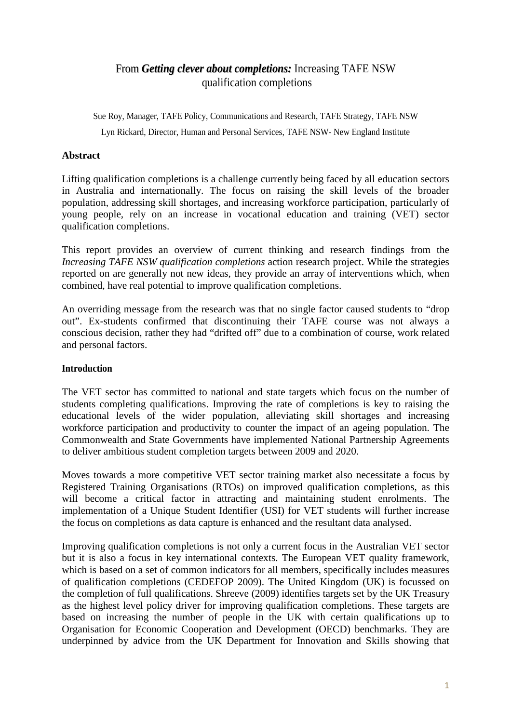# From *Getting clever about completions:* Increasing TAFE NSW qualification completions

Sue Roy, Manager, TAFE Policy, Communications and Research, TAFE Strategy, TAFE NSW Lyn Rickard, Director, Human and Personal Services, TAFE NSW- New England Institute

### **Abstract**

Lifting qualification completions is a challenge currently being faced by all education sectors in Australia and internationally. The focus on raising the skill levels of the broader population, addressing skill shortages, and increasing workforce participation, particularly of young people, rely on an increase in vocational education and training (VET) sector qualification completions.

This report provides an overview of current thinking and research findings from the *Increasing TAFE NSW qualification completions* action research project. While the strategies reported on are generally not new ideas, they provide an array of interventions which, when combined, have real potential to improve qualification completions.

An overriding message from the research was that no single factor caused students to "drop out". Ex-students confirmed that discontinuing their TAFE course was not always a conscious decision, rather they had "drifted off" due to a combination of course, work related and personal factors.

#### **Introduction**

The VET sector has committed to national and state targets which focus on the number of students completing qualifications. Improving the rate of completions is key to raising the educational levels of the wider population, alleviating skill shortages and increasing workforce participation and productivity to counter the impact of an ageing population. The Commonwealth and State Governments have implemented National Partnership Agreements to deliver ambitious student completion targets between 2009 and 2020.

Moves towards a more competitive VET sector training market also necessitate a focus by Registered Training Organisations (RTOs) on improved qualification completions, as this will become a critical factor in attracting and maintaining student enrolments. The implementation of a Unique Student Identifier (USI) for VET students will further increase the focus on completions as data capture is enhanced and the resultant data analysed.

Improving qualification completions is not only a current focus in the Australian VET sector but it is also a focus in key international contexts. The European VET quality framework, which is based on a set of common indicators for all members, specifically includes measures of qualification completions (CEDEFOP 2009). The United Kingdom (UK) is focussed on the completion of full qualifications. Shreeve (2009) identifies targets set by the UK Treasury as the highest level policy driver for improving qualification completions. These targets are based on increasing the number of people in the UK with certain qualifications up to Organisation for Economic Cooperation and Development (OECD) benchmarks. They are underpinned by advice from the UK Department for Innovation and Skills showing that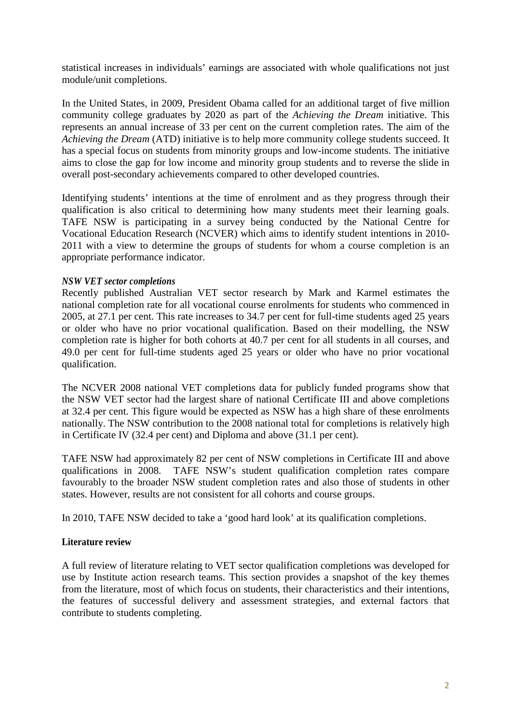statistical increases in individuals' earnings are associated with whole qualifications not just module/unit completions.

In the United States, in 2009, President Obama called for an additional target of five million community college graduates by 2020 as part of the *Achieving the Dream* initiative. This represents an annual increase of 33 per cent on the current completion rates. The aim of the *Achieving the Dream* (ATD) initiative is to help more community college students succeed. It has a special focus on students from minority groups and low-income students. The initiative aims to close the gap for low income and minority group students and to reverse the slide in overall post-secondary achievements compared to other developed countries.

Identifying students' intentions at the time of enrolment and as they progress through their qualification is also critical to determining how many students meet their learning goals. TAFE NSW is participating in a survey being conducted by the National Centre for Vocational Education Research (NCVER) which aims to identify student intentions in 2010- 2011 with a view to determine the groups of students for whom a course completion is an appropriate performance indicator.

#### *NSW VET sector completions*

Recently published Australian VET sector research by Mark and Karmel estimates the national completion rate for all vocational course enrolments for students who commenced in 2005, at 27.1 per cent. This rate increases to 34.7 per cent for full-time students aged 25 years or older who have no prior vocational qualification. Based on their modelling, the NSW completion rate is higher for both cohorts at 40.7 per cent for all students in all courses, and 49.0 per cent for full-time students aged 25 years or older who have no prior vocational qualification.

The NCVER 2008 national VET completions data for publicly funded programs show that the NSW VET sector had the largest share of national Certificate III and above completions at 32.4 per cent. This figure would be expected as NSW has a high share of these enrolments nationally. The NSW contribution to the 2008 national total for completions is relatively high in Certificate IV (32.4 per cent) and Diploma and above (31.1 per cent).

TAFE NSW had approximately 82 per cent of NSW completions in Certificate III and above qualifications in 2008. TAFE NSW's student qualification completion rates compare favourably to the broader NSW student completion rates and also those of students in other states. However, results are not consistent for all cohorts and course groups.

In 2010, TAFE NSW decided to take a 'good hard look' at its qualification completions.

## **Literature review**

A full review of literature relating to VET sector qualification completions was developed for use by Institute action research teams. This section provides a snapshot of the key themes from the literature, most of which focus on students, their characteristics and their intentions, the features of successful delivery and assessment strategies, and external factors that contribute to students completing.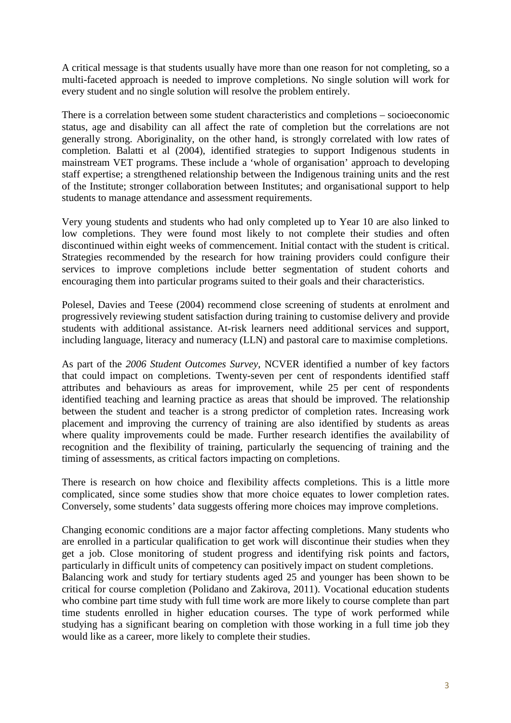A critical message is that students usually have more than one reason for not completing, so a multi-faceted approach is needed to improve completions. No single solution will work for every student and no single solution will resolve the problem entirely.

There is a correlation between some student characteristics and completions – socioeconomic status, age and disability can all affect the rate of completion but the correlations are not generally strong. Aboriginality, on the other hand, is strongly correlated with low rates of completion. Balatti et al (2004), identified strategies to support Indigenous students in mainstream VET programs. These include a 'whole of organisation' approach to developing staff expertise; a strengthened relationship between the Indigenous training units and the rest of the Institute; stronger collaboration between Institutes; and organisational support to help students to manage attendance and assessment requirements.

Very young students and students who had only completed up to Year 10 are also linked to low completions. They were found most likely to not complete their studies and often discontinued within eight weeks of commencement. Initial contact with the student is critical. Strategies recommended by the research for how training providers could configure their services to improve completions include better segmentation of student cohorts and encouraging them into particular programs suited to their goals and their characteristics.

Polesel, Davies and Teese (2004) recommend close screening of students at enrolment and progressively reviewing student satisfaction during training to customise delivery and provide students with additional assistance. At-risk learners need additional services and support, including language, literacy and numeracy (LLN) and pastoral care to maximise completions.

As part of the *2006 Student Outcomes Survey*, NCVER identified a number of key factors that could impact on completions. Twenty-seven per cent of respondents identified staff attributes and behaviours as areas for improvement, while 25 per cent of respondents identified teaching and learning practice as areas that should be improved. The relationship between the student and teacher is a strong predictor of completion rates. Increasing work placement and improving the currency of training are also identified by students as areas where quality improvements could be made. Further research identifies the availability of recognition and the flexibility of training, particularly the sequencing of training and the timing of assessments, as critical factors impacting on completions.

There is research on how choice and flexibility affects completions. This is a little more complicated, since some studies show that more choice equates to lower completion rates. Conversely, some students' data suggests offering more choices may improve completions.

Changing economic conditions are a major factor affecting completions. Many students who are enrolled in a particular qualification to get work will discontinue their studies when they get a job. Close monitoring of student progress and identifying risk points and factors, particularly in difficult units of competency can positively impact on student completions.

Balancing work and study for tertiary students aged 25 and younger has been shown to be critical for course completion (Polidano and Zakirova, 2011). Vocational education students who combine part time study with full time work are more likely to course complete than part time students enrolled in higher education courses. The type of work performed while studying has a significant bearing on completion with those working in a full time job they would like as a career, more likely to complete their studies.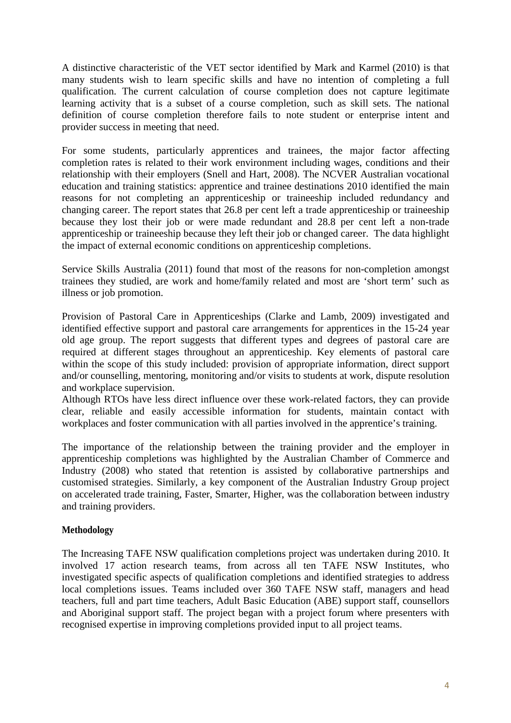A distinctive characteristic of the VET sector identified by Mark and Karmel (2010) is that many students wish to learn specific skills and have no intention of completing a full qualification. The current calculation of course completion does not capture legitimate learning activity that is a subset of a course completion, such as skill sets. The national definition of course completion therefore fails to note student or enterprise intent and provider success in meeting that need.

For some students, particularly apprentices and trainees, the major factor affecting completion rates is related to their work environment including wages, conditions and their relationship with their employers (Snell and Hart, 2008). The NCVER Australian vocational education and training statistics: apprentice and trainee destinations 2010 identified the main reasons for not completing an apprenticeship or traineeship included redundancy and changing career. The report states that 26.8 per cent left a trade apprenticeship or traineeship because they lost their job or were made redundant and 28.8 per cent left a non-trade apprenticeship or traineeship because they left their job or changed career. The data highlight the impact of external economic conditions on apprenticeship completions.

Service Skills Australia (2011) found that most of the reasons for non-completion amongst trainees they studied, are work and home/family related and most are 'short term' such as illness or job promotion.

Provision of Pastoral Care in Apprenticeships (Clarke and Lamb, 2009) investigated and identified effective support and pastoral care arrangements for apprentices in the 15-24 year old age group. The report suggests that different types and degrees of pastoral care are required at different stages throughout an apprenticeship. Key elements of pastoral care within the scope of this study included: provision of appropriate information, direct support and/or counselling, mentoring, monitoring and/or visits to students at work, dispute resolution and workplace supervision.

Although RTOs have less direct influence over these work-related factors, they can provide clear, reliable and easily accessible information for students, maintain contact with workplaces and foster communication with all parties involved in the apprentice's training.

The importance of the relationship between the training provider and the employer in apprenticeship completions was highlighted by the Australian Chamber of Commerce and Industry (2008) who stated that retention is assisted by collaborative partnerships and customised strategies. Similarly, a key component of the Australian Industry Group project on accelerated trade training, Faster, Smarter, Higher, was the collaboration between industry and training providers.

## **Methodology**

The Increasing TAFE NSW qualification completions project was undertaken during 2010. It involved 17 action research teams, from across all ten TAFE NSW Institutes, who investigated specific aspects of qualification completions and identified strategies to address local completions issues. Teams included over 360 TAFE NSW staff, managers and head teachers, full and part time teachers, Adult Basic Education (ABE) support staff, counsellors and Aboriginal support staff. The project began with a project forum where presenters with recognised expertise in improving completions provided input to all project teams.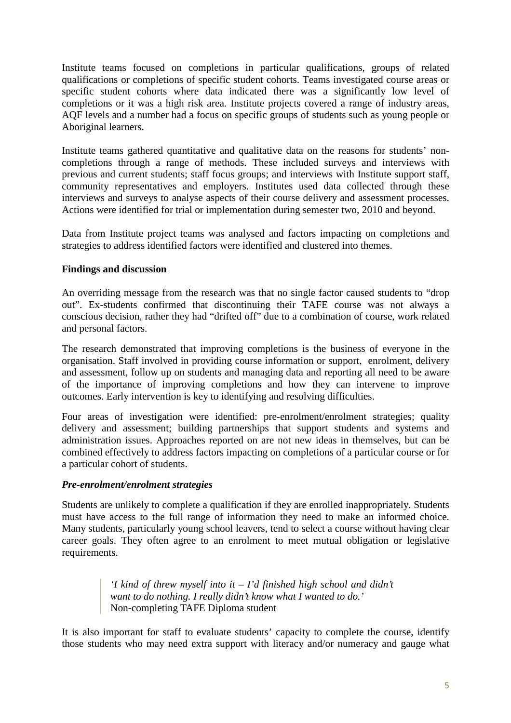Institute teams focused on completions in particular qualifications, groups of related qualifications or completions of specific student cohorts. Teams investigated course areas or specific student cohorts where data indicated there was a significantly low level of completions or it was a high risk area. Institute projects covered a range of industry areas, AQF levels and a number had a focus on specific groups of students such as young people or Aboriginal learners.

Institute teams gathered quantitative and qualitative data on the reasons for students' noncompletions through a range of methods. These included surveys and interviews with previous and current students; staff focus groups; and interviews with Institute support staff, community representatives and employers. Institutes used data collected through these interviews and surveys to analyse aspects of their course delivery and assessment processes. Actions were identified for trial or implementation during semester two, 2010 and beyond.

Data from Institute project teams was analysed and factors impacting on completions and strategies to address identified factors were identified and clustered into themes.

## **Findings and discussion**

An overriding message from the research was that no single factor caused students to "drop out". Ex-students confirmed that discontinuing their TAFE course was not always a conscious decision, rather they had "drifted off" due to a combination of course, work related and personal factors.

The research demonstrated that improving completions is the business of everyone in the organisation. Staff involved in providing course information or support, enrolment, delivery and assessment, follow up on students and managing data and reporting all need to be aware of the importance of improving completions and how they can intervene to improve outcomes. Early intervention is key to identifying and resolving difficulties.

Four areas of investigation were identified: pre-enrolment/enrolment strategies; quality delivery and assessment; building partnerships that support students and systems and administration issues. Approaches reported on are not new ideas in themselves, but can be combined effectively to address factors impacting on completions of a particular course or for a particular cohort of students.

#### *Pre-enrolment/enrolment strategies*

Students are unlikely to complete a qualification if they are enrolled inappropriately. Students must have access to the full range of information they need to make an informed choice. Many students, particularly young school leavers, tend to select a course without having clear career goals. They often agree to an enrolment to meet mutual obligation or legislative requirements.

> *'I kind of threw myself into it – I'd finished high school and didn't want to do nothing. I really didn't know what I wanted to do.'*  Non-completing TAFE Diploma student

It is also important for staff to evaluate students' capacity to complete the course, identify those students who may need extra support with literacy and/or numeracy and gauge what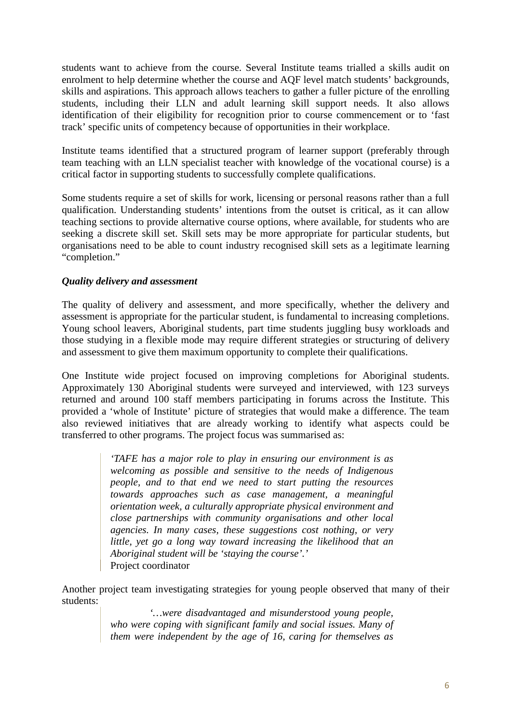students want to achieve from the course. Several Institute teams trialled a skills audit on enrolment to help determine whether the course and AQF level match students' backgrounds, skills and aspirations. This approach allows teachers to gather a fuller picture of the enrolling students, including their LLN and adult learning skill support needs. It also allows identification of their eligibility for recognition prior to course commencement or to 'fast track' specific units of competency because of opportunities in their workplace.

Institute teams identified that a structured program of learner support (preferably through team teaching with an LLN specialist teacher with knowledge of the vocational course) is a critical factor in supporting students to successfully complete qualifications.

Some students require a set of skills for work, licensing or personal reasons rather than a full qualification. Understanding students' intentions from the outset is critical, as it can allow teaching sections to provide alternative course options, where available, for students who are seeking a discrete skill set. Skill sets may be more appropriate for particular students, but organisations need to be able to count industry recognised skill sets as a legitimate learning "completion."

## *Quality delivery and assessment*

The quality of delivery and assessment, and more specifically, whether the delivery and assessment is appropriate for the particular student, is fundamental to increasing completions. Young school leavers, Aboriginal students, part time students juggling busy workloads and those studying in a flexible mode may require different strategies or structuring of delivery and assessment to give them maximum opportunity to complete their qualifications.

One Institute wide project focused on improving completions for Aboriginal students. Approximately 130 Aboriginal students were surveyed and interviewed, with 123 surveys returned and around 100 staff members participating in forums across the Institute. This provided a 'whole of Institute' picture of strategies that would make a difference. The team also reviewed initiatives that are already working to identify what aspects could be transferred to other programs. The project focus was summarised as:

> *'TAFE has a major role to play in ensuring our environment is as welcoming as possible and sensitive to the needs of Indigenous people, and to that end we need to start putting the resources towards approaches such as case management, a meaningful orientation week, a culturally appropriate physical environment and close partnerships with community organisations and other local agencies. In many cases, these suggestions cost nothing, or very little, yet go a long way toward increasing the likelihood that an Aboriginal student will be 'staying the course'.'*  Project coordinator

Another project team investigating strategies for young people observed that many of their students:

> *'…were disadvantaged and misunderstood young people, who were coping with significant family and social issues. Many of them were independent by the age of 16, caring for themselves as*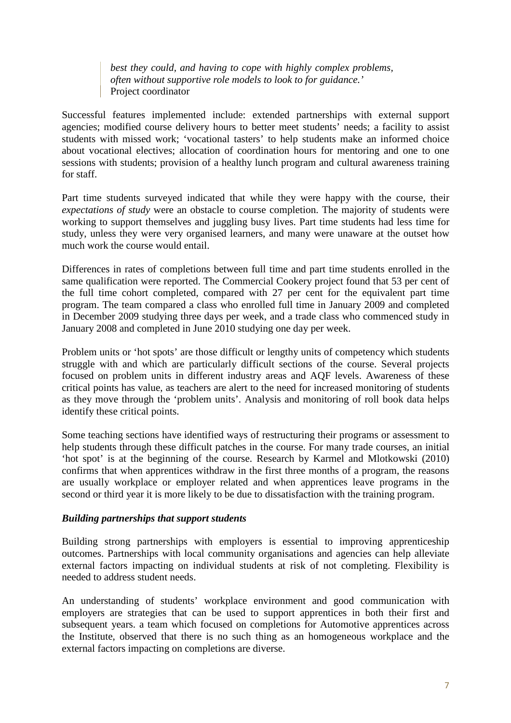*best they could, and having to cope with highly complex problems, often without supportive role models to look to for guidance.'*  Project coordinator

Successful features implemented include: extended partnerships with external support agencies; modified course delivery hours to better meet students' needs; a facility to assist students with missed work; 'vocational tasters' to help students make an informed choice about vocational electives; allocation of coordination hours for mentoring and one to one sessions with students; provision of a healthy lunch program and cultural awareness training for staff.

Part time students surveyed indicated that while they were happy with the course, their *expectations of study* were an obstacle to course completion. The majority of students were working to support themselves and juggling busy lives. Part time students had less time for study, unless they were very organised learners, and many were unaware at the outset how much work the course would entail.

Differences in rates of completions between full time and part time students enrolled in the same qualification were reported. The Commercial Cookery project found that 53 per cent of the full time cohort completed, compared with 27 per cent for the equivalent part time program. The team compared a class who enrolled full time in January 2009 and completed in December 2009 studying three days per week, and a trade class who commenced study in January 2008 and completed in June 2010 studying one day per week.

Problem units or 'hot spots' are those difficult or lengthy units of competency which students struggle with and which are particularly difficult sections of the course. Several projects focused on problem units in different industry areas and AQF levels. Awareness of these critical points has value, as teachers are alert to the need for increased monitoring of students as they move through the 'problem units'. Analysis and monitoring of roll book data helps identify these critical points.

Some teaching sections have identified ways of restructuring their programs or assessment to help students through these difficult patches in the course. For many trade courses, an initial 'hot spot' is at the beginning of the course. Research by Karmel and Mlotkowski (2010) confirms that when apprentices withdraw in the first three months of a program, the reasons are usually workplace or employer related and when apprentices leave programs in the second or third year it is more likely to be due to dissatisfaction with the training program.

#### *Building partnerships that support students*

Building strong partnerships with employers is essential to improving apprenticeship outcomes. Partnerships with local community organisations and agencies can help alleviate external factors impacting on individual students at risk of not completing. Flexibility is needed to address student needs.

An understanding of students' workplace environment and good communication with employers are strategies that can be used to support apprentices in both their first and subsequent years. a team which focused on completions for Automotive apprentices across the Institute, observed that there is no such thing as an homogeneous workplace and the external factors impacting on completions are diverse.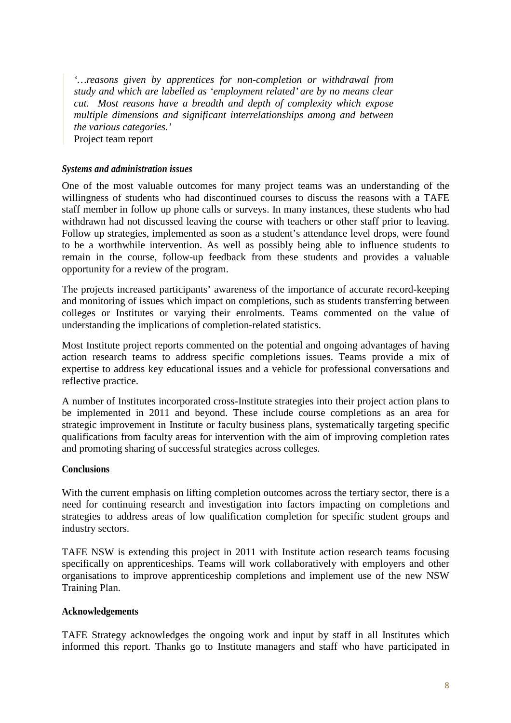*'…reasons given by apprentices for non-completion or withdrawal from study and which are labelled as 'employment related' are by no means clear cut. Most reasons have a breadth and depth of complexity which expose multiple dimensions and significant interrelationships among and between the various categories.'*  Project team report

*Systems and administration issues* 

One of the most valuable outcomes for many project teams was an understanding of the willingness of students who had discontinued courses to discuss the reasons with a TAFE staff member in follow up phone calls or surveys. In many instances, these students who had withdrawn had not discussed leaving the course with teachers or other staff prior to leaving. Follow up strategies, implemented as soon as a student's attendance level drops, were found to be a worthwhile intervention. As well as possibly being able to influence students to remain in the course, follow-up feedback from these students and provides a valuable opportunity for a review of the program.

The projects increased participants' awareness of the importance of accurate record-keeping and monitoring of issues which impact on completions, such as students transferring between colleges or Institutes or varying their enrolments. Teams commented on the value of understanding the implications of completion-related statistics.

Most Institute project reports commented on the potential and ongoing advantages of having action research teams to address specific completions issues. Teams provide a mix of expertise to address key educational issues and a vehicle for professional conversations and reflective practice.

A number of Institutes incorporated cross-Institute strategies into their project action plans to be implemented in 2011 and beyond. These include course completions as an area for strategic improvement in Institute or faculty business plans, systematically targeting specific qualifications from faculty areas for intervention with the aim of improving completion rates and promoting sharing of successful strategies across colleges.

#### **Conclusions**

With the current emphasis on lifting completion outcomes across the tertiary sector, there is a need for continuing research and investigation into factors impacting on completions and strategies to address areas of low qualification completion for specific student groups and industry sectors.

TAFE NSW is extending this project in 2011 with Institute action research teams focusing specifically on apprenticeships. Teams will work collaboratively with employers and other organisations to improve apprenticeship completions and implement use of the new NSW Training Plan.

#### **Acknowledgements**

TAFE Strategy acknowledges the ongoing work and input by staff in all Institutes which informed this report. Thanks go to Institute managers and staff who have participated in